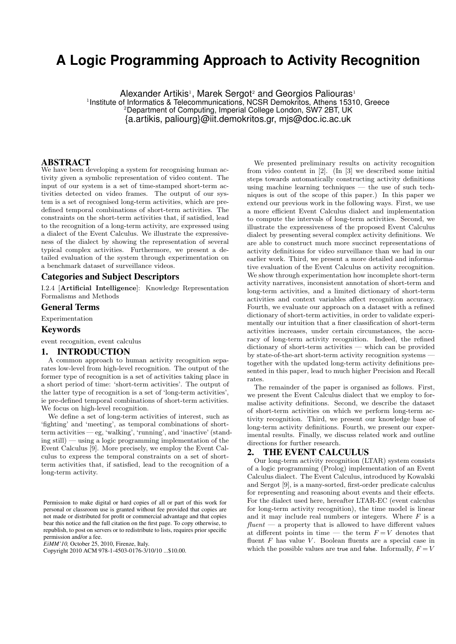# **A Logic Programming Approach to Activity Recognition**

Alexander Artikis<sup>1</sup>, Marek Sergot<sup>2</sup> and Georgios Paliouras<sup>1</sup> <sup>1</sup>Institute of Informatics & Telecommunications, NCSR Demokritos, Athens 15310, Greece <sup>2</sup>Department of Computing, Imperial College London, SW7 2BT, UK {a.artikis, paliourg}@iit.demokritos.gr, mjs@doc.ic.ac.uk

## ABSTRACT

We have been developing a system for recognising human activity given a symbolic representation of video content. The input of our system is a set of time-stamped short-term activities detected on video frames. The output of our system is a set of recognised long-term activities, which are predefined temporal combinations of short-term activities. The constraints on the short-term activities that, if satisfied, lead to the recognition of a long-term activity, are expressed using a dialect of the Event Calculus. We illustrate the expressiveness of the dialect by showing the representation of several typical complex activities. Furthermore, we present a detailed evaluation of the system through experimentation on a benchmark dataset of surveillance videos.

#### Categories and Subject Descriptors

I.2.4 [Artificial Intelligence]: Knowledge Representation Formalisms and Methods

## General Terms

Experimentation

#### Keywords

event recognition, event calculus

## 1. INTRODUCTION

A common approach to human activity recognition separates low-level from high-level recognition. The output of the former type of recognition is a set of activities taking place in a short period of time: 'short-term activities'. The output of the latter type of recognition is a set of 'long-term activities', ie pre-defined temporal combinations of short-term activities. We focus on high-level recognition.

We define a set of long-term activities of interest, such as 'fighting' and 'meeting', as temporal combinations of shortterm activities — eg, 'walking', 'running', and 'inactive' (standing still) — using a logic programming implementation of the Event Calculus [9]. More precisely, we employ the Event Calculus to express the temporal constraints on a set of shortterm activities that, if satisfied, lead to the recognition of a long-term activity.

*EiMM'10,* October 25, 2010, Firenze, Italy.

Copyright 2010 ACM 978-1-4503-0176-3/10/10 ...\$10.00.

We presented preliminary results on activity recognition from video content in [2]. (In [3] we described some initial steps towards automatically constructing activity definitions using machine learning techniques — the use of such techniques is out of the scope of this paper.) In this paper we extend our previous work in the following ways. First, we use a more efficient Event Calculus dialect and implementation to compute the intervals of long-term activities. Second, we illustrate the expressiveness of the proposed Event Calculus dialect by presenting several complex activity definitions. We are able to construct much more succinct representations of activity definitions for video surveillance than we had in our earlier work. Third, we present a more detailed and informative evaluation of the Event Calculus on activity recognition. We show through experimentation how incomplete short-term activity narratives, inconsistent annotation of short-term and long-term activities, and a limited dictionary of short-term activities and context variables affect recognition accuracy. Fourth, we evaluate our approach on a dataset with a refined dictionary of short-term activities, in order to validate experimentally our intuition that a finer classification of short-term activities increases, under certain circumstances, the accuracy of long-term activity recognition. Indeed, the refined dictionary of short-term activities — which can be provided by state-of-the-art short-term activity recognition systems together with the updated long-term activity definitions presented in this paper, lead to much higher Precision and Recall rates.

The remainder of the paper is organised as follows. First, we present the Event Calculus dialect that we employ to formalise activity definitions. Second, we describe the dataset of short-term activities on which we perform long-term activity recognition. Third, we present our knowledge base of long-term activity definitions. Fourth, we present our experimental results. Finally, we discuss related work and outline directions for further research.

# 2. THE EVENT CALCULUS

Our long-term activity recognition (LTAR) system consists of a logic programming (Prolog) implementation of an Event Calculus dialect. The Event Calculus, introduced by Kowalski and Sergot [9], is a many-sorted, first-order predicate calculus for representing and reasoning about events and their effects. For the dialect used here, hereafter LTAR-EC (event calculus for long-term activity recognition), the time model is linear and it may include real numbers or integers. Where  $F$  is a  $fluent$  — a property that is allowed to have different values at different points in time — the term  $F = V$  denotes that fluent  $F$  has value  $V$ . Boolean fluents are a special case in which the possible values are true and false. Informally,  $F = V$ 

Permission to make digital or hard copies of all or part of this work for personal or classroom use is granted without fee provided that copies are not made or distributed for profit or commercial advantage and that copies bear this notice and the full citation on the first page. To copy otherwise, to republish, to post on servers or to redistribute to lists, requires prior specific permission and/or a fee.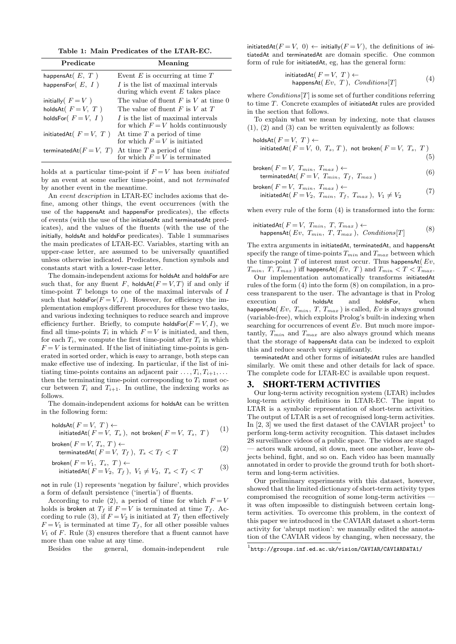Table 1: Main Predicates of the LTAR-EC.

| Predicate                         | Meaning                                                                    |
|-----------------------------------|----------------------------------------------------------------------------|
| happens $\mathsf{At}(\ E,\ T)$    | Event $E$ is occurring at time $T$                                         |
| happensFor $(E, I)$               | I is the list of maximal intervals<br>during which event $E$ takes place   |
| initially $(F = V)$               | The value of fluent $F$ is $V$ at time 0                                   |
| holdsAt $(F = V, T)$              | The value of fluent $F$ is $V$ at $T$                                      |
| holdsFor $(F = V, I)$             | I is the list of maximal intervals<br>for which $F = V$ holds continuously |
| initiated $\mathsf{At}(F = V, T)$ | At time $T$ a period of time<br>for which $F = V$ is initiated             |
| terminated $At(F=V, T)$           | At time $T$ a period of time<br>for which $F = V$ is terminated            |

holds at a particular time-point if  $F = V$  has been *initiated* by an event at some earlier time-point, and not terminated by another event in the meantime.

An event description in LTAR-EC includes axioms that define, among other things, the event occurrences (with the use of the happensAt and happensFor predicates), the effects of events (with the use of the initiatedAt and terminatedAt predicates), and the values of the fluents (with the use of the initially, holdsAt and holdsFor predicates). Table 1 summarises the main predicates of LTAR-EC. Variables, starting with an upper-case letter, are assumed to be universally quantified unless otherwise indicated. Predicates, function symbols and constants start with a lower-case letter.

The domain-independent axioms for holdsAt and holdsFor are such that, for any fluent F, holds $At(F = V, T)$  if and only if time-point T belongs to one of the maximal intervals of I such that holdsFor $(F = V, I)$ . However, for efficiency the implementation employs different procedures for these two tasks, and various indexing techniques to reduce search and improve efficiency further. Briefly, to compute holdsFor $(F = V, I)$ , we find all time-points  $T_i$  in which  $F = V$  is initiated, and then, for each  $T_i$ , we compute the first time-point after  $T_i$  in which  $F = V$  is terminated. If the list of initiating time-points is generated in sorted order, which is easy to arrange, both steps can make effective use of indexing. In particular, if the list of initiating time-points contains an adjacent pair  $\ldots, T_i, T_{i+1}, \ldots$ then the terminating time-point corresponding to  $T_i$  must occur between  $T_i$  and  $T_{i+1}$ . In outline, the indexing works as follows.

The domain-independent axioms for holdsAt can be written in the following form:

$$
\text{holdsAt}(\ F = V, \ T) \leftarrow \\
 \text{initiatedAt}(\ F = V, \ T_s), \ \text{not broken}(\ F = V, \ T_s, \ T)
$$
 (1)

$$
\begin{aligned} \text{broken}(F = V, T_s, T) &\leftarrow \\ \text{terminaledAt}(F = V, T_f), T_s < T_f < T \end{aligned} \tag{2}
$$

$$
\begin{array}{ll}\n\text{iroken}( \, F = V_1, \, T_s, \, T) \leftarrow \\
\text{initiatedAt}( \, F = V_2, \, T_f \, ), \, \, V_1 \neq V_2, \, T_s < T_f < T\n\end{array} \tag{3}
$$

not in rule (1) represents 'negation by failure', which provides a form of default persistence ('inertia') of fluents.

According to rule (2), a period of time for which  $F = V$ holds is broken at  $T_f$  if  $F = V$  is terminated at time  $T_f$ . According to rule (3), if  $F = V_2$  is initiated at  $T_f$  then effectively  $F = V_1$  is terminated at time  $T_f$ , for all other possible values  $V_1$  of F. Rule (3) ensures therefore that a fluent cannot have more than one value at any time.

Besides the general, domain-independent rule

initiatedAt( $F = V$ , 0)  $\leftarrow$  initially( $F = V$ ), the definitions of initiatedAt and terminatedAt are domain specific. One common form of rule for initiatedAt, eg, has the general form:

$$
\begin{array}{ll}\n\text{initiatedAt}( \, F = V, \, T \, ) \leftarrow \\
\text{happensAt}( \, Ev, \, T \, ), \, \, Conditions[T] \tag{4}\n\end{array}
$$

where  $Conditions[T]$  is some set of further conditions referring to time T. Concrete examples of initiatedAt rules are provided in the section that follows.

To explain what we mean by indexing, note that clauses  $(1)$ ,  $(2)$  and  $(3)$  can be written equivalently as follows:

holdsAt 
$$
(F = V, T) \leftarrow
$$
  
initiatedAt  $(F = V, 0, T_s, T)$ , not broken  $(F = V, T_s, T)$  (5)

$$
\begin{array}{l}\n\text{broken}(F = V, T_{min}, T_{max}) \leftarrow \\
\text{terminaledAt}(F = V, T_{min}, T_f, T_{max})\n\end{array} \tag{6}
$$

$$
\begin{array}{ll}\n\text{broken}(F = V, T_{min}, T_{max}) \leftarrow \\
\text{initiatedAt}(F = V_2, T_{min}, T_f, T_{max}), V_1 \neq V_2\n\end{array} \tag{7}
$$

when every rule of the form (4) is transformed into the form:

$$
\begin{array}{ll}\n\text{initiatedAt}(F = V, T_{min}, T, T_{max}) \leftarrow \\
\text{happensAt}(Ev, T_{min}, T, T_{max}), \text{ Conditions}[T] \tag{8}\n\end{array}
$$

The extra arguments in initiatedAt, terminatedAt, and happensAt specify the range of time-points  $T_{min}$  and  $T_{max}$  between which the time-point  $T$  of interest must occur. Thus happensAt( $Ev$ ,  $T_{min}$ ,  $T$ ,  $T_{max}$ ) iff happensAt( $Ev$ ,  $T$ ) and  $T_{min}$  <  $T$  <  $T_{max}$ .

Our implementation automatically transforms initiatedAt rules of the form (4) into the form (8) on compilation, in a process transparent to the user. The advantage is that in Prolog execution of holdsAt and holdsFor, when happensAt( $Ev$ ,  $T_{min}$ ,  $T$ ,  $T_{max}$ ) is called,  $Ev$  is always ground (variable-free), which exploits Prolog's built-in indexing when searching for occurrences of event Ev. But much more importantly,  $T_{min}$  and  $T_{max}$  are also always ground which means that the storage of happensAt data can be indexed to exploit this and reduce search very significantly.

terminatedAt and other forms of initiatedAt rules are handled similarly. We omit these and other details for lack of space. The complete code for LTAR-EC is available upon request.

## 3. SHORT-TERM ACTIVITIES

Our long-term activity recognition system (LTAR) includes long-term activity definitions in LTAR-EC. The input to LTAR is a symbolic representation of short-term activities. The output of LTAR is a set of recognised long-term activities. In  $[2, 3]$  we used the first dataset of the CAVIAR project<sup>1</sup> to perform long-term activity recognition. This dataset includes 28 surveillance videos of a public space. The videos are staged — actors walk around, sit down, meet one another, leave objects behind, fight, and so on. Each video has been manually annotated in order to provide the ground truth for both shortterm and long-term activities.

Our preliminary experiments with this dataset, however, showed that the limited dictionary of short-term activity types compromised the recognition of some long-term activities it was often impossible to distinguish between certain longterm activities. To overcome this problem, in the context of this paper we introduced in the CAVIAR dataset a short-term activity for 'abrupt motion': we manually edited the annotation of the CAVIAR videos by changing, when necessary, the

<sup>1</sup> http://groups.inf.ed.ac.uk/vision/CAVIAR/CAVIARDATA1/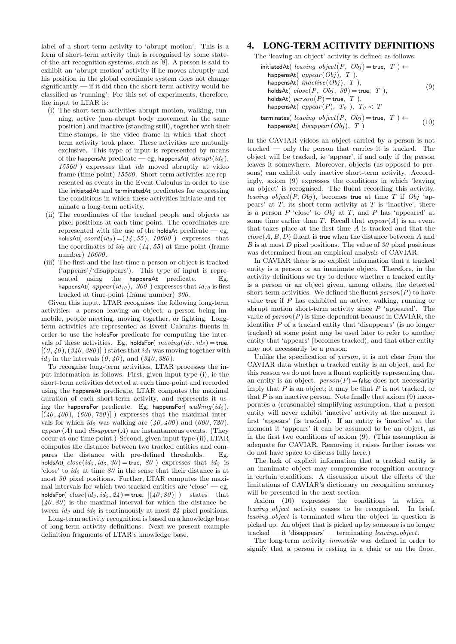label of a short-term activity to 'abrupt motion'. This is a form of short-term activity that is recognised by some stateof-the-art recognition systems, such as [8]. A person is said to exhibit an 'abrupt motion' activity if he moves abruptly and his position in the global coordinate system does not change significantly — if it did then the short-term activity would be classified as 'running'. For this set of experiments, therefore, the input to LTAR is:

- (i) The short-term activities abrupt motion, walking, running, active (non-abrupt body movement in the same position) and inactive (standing still), together with their time-stamps, ie the video frame in which that shortterm activity took place. These activities are mutually exclusive. This type of input is represented by means of the happensAt predicate — eg, happensAt $(id_6)$ , 15560) expresses that  $id_6$  moved abruptly at video frame (time-point) 15560 . Short-term activities are represented as events in the Event Calculus in order to use the initiatedAt and terminatedAt predicates for expressing the conditions in which these activities initiate and terminate a long-term activity.
- (ii) The coordinates of the tracked people and objects as pixel positions at each time-point. The coordinates are represented with the use of the holdsAt predicate  $-$  eg, holdsAt( $coord(id_2) = (14, 55)$ , 10600) expresses that the coordinates of  $id_2$  are  $(1, 55)$  at time-point (frame number) 10600 .
- (iii) The first and the last time a person or object is tracked ('appears'/'disappears'). This type of input is represented using the happensAt predicate. Eg, happensAt(  $appear(id_{10})$ , 300 ) expresses that  $id_{10}$  is first tracked at time-point (frame number) 300 .

Given this input, LTAR recognises the following long-term activities: a person leaving an object, a person being immobile, people meeting, moving together, or fighting. Longterm activities are represented as Event Calculus fluents in order to use the holdsFor predicate for computing the intervals of these activities. Eg, holdsFor(  $moving(id_1, id_3)$  = true,  $[(0, 40), (340, 380)]$  ) states that  $id_1$  was moving together with  $id_3$  in the intervals  $(0, 40)$ , and  $(340, 380)$ .

To recognise long-term activities, LTAR processes the input information as follows. First, given input type (i), ie the short-term activities detected at each time-point and recorded using the happensAt predicate, LTAR computes the maximal duration of each short-term activity, and represents it using the happensFor predicate. Eg, happensFor(  $walking(id_5)$ ,  $[(40, 400), (600, 720)]$  expresses that the maximal intervals for which  $id_5$  was walking are  $(40, 400)$  and  $(600, 720)$ .  $appear(A)$  and  $disappear(A)$  are instantaneous events. (They occur at one time point.) Second, given input type (ii), LTAR computes the distance between two tracked entities and compares the distance with pre-defined thresholds. Eg, holdsAt(  $close(id_3, id_5, 30)$  = true,  $80$  ) expresses that  $id_3$  is 'close' to  $id_5$  at time  $80$  in the sense that their distance is at most  $30$  pixel positions. Further, LTAR computes the maximal intervals for which two tracked entities are 'close'  $-$  eg, holdsFor(  $close(id_3, id_5, 24)$  = true,  $[(40, 80)]$  ) states that  $(40, 80)$  is the maximal interval for which the distance between  $id_3$  and  $id_5$  is continuously at most  $24$  pixel positions.

Long-term activity recognition is based on a knowledge base of long-term activity definitions. Next we present example definition fragments of LTAR's knowledge base.

## 4. LONG-TERM ACITIVITY DEFINITIONS

The 'leaving an object' activity is defined as follows:

$$
\begin{array}{ll}\n\text{initiatedAt}( \text{ leaving-object}(P, \text{ Obj}) = \text{true}, \text{ } T \text{ } ) \leftarrow \\
\text{ happensAt}( \text{ appear}(Obj), \text{ } T \text{ } ), \\
\text{ happensAt}( \text{ inactive}(Obj), \text{ } T \text{ } ), \\
\text{ holdsAt}( \text{ close}(P, \text{ Obj}, 30) = \text{true}, \text{ } T \text{ } ), \\
\text{ holdsAt}( \text{ person}(P) = \text{true}, \text{ } T \text{ } ), \\
\text{ happensAt}( \text{ appear}(P), \text{ } T_0 \text{ } ), \text{ } T_0 < T\n\end{array} \tag{9}
$$

 $t$ erminates $($   $leaving\_obie$ happensAt $(disappear(Obj), T)$ (10)

In the CAVIAR videos an object carried by a person is not tracked — only the person that carries it is tracked. The object will be tracked, ie 'appear', if and only if the person leaves it somewhere. Moreover, objects (as opposed to persons) can exhibit only inactive short-term activity. Accordingly, axiom (9) expresses the conditions in which 'leaving an object' is recognised. The fluent recording this activity, leaving object(P, Obj), becomes true at time T if Obj 'appears' at  $T$ , its short-term activity at  $T$  is 'inactive', there is a person  $P$  'close' to  $Obj$  at  $T$ , and  $P$  has 'appeared' at some time earlier than T. Recall that  $appear(A)$  is an event that takes place at the first time A is tracked and that the  $close(A, B, D)$  fluent is true when the distance between A and B is at most D pixel positions. The value of  $30$  pixel positions was determined from an empirical analysis of CAVIAR.

In CAVIAR there is no explicit information that a tracked entity is a person or an inanimate object. Therefore, in the activity definitions we try to deduce whether a tracked entity is a person or an object given, among others, the detected short-term activities. We defined the fluent  $person(P)$  to have value true if  $P$  has exhibited an active, walking, running or abrupt motion short-term activity since  $P$  'appeared'. The value of  $person(P)$  is time-dependent because in CAVIAR, the identifier P of a tracked entity that 'disappears' (is no longer tracked) at some point may be used later to refer to another entity that 'appears' (becomes tracked), and that other entity may not necessarily be a person.

Unlike the specification of person, it is not clear from the CAVIAR data whether a tracked entity is an object, and for this reason we do not have a fluent explicitly representing that an entity is an object.  $person(P) = false$  does not necessarily imply that  $P$  is an object; it may be that  $P$  is not tracked, or that  $P$  is an inactive person. Note finally that axiom  $(9)$  incorporates a (reasonable) simplifying assumption, that a person entity will never exhibit 'inactive' activity at the moment it first 'appears' (is tracked). If an entity is 'inactive' at the moment it 'appears' it can be assumed to be an object, as in the first two conditions of axiom (9). (This assumption is adequate for CAVIAR. Removing it raises further issues we do not have space to discuss fully here.)

The lack of explicit information that a tracked entity is an inanimate object may compromise recognition accuracy in certain conditions. A discussion about the effects of the limitations of CAVIAR's dictionary on recognition accuracy will be presented in the next section.

Axiom (10) expresses the conditions in which a leaving object activity ceases to be recognised. In brief, leaving object is terminated when the object in question is picked up. An object that is picked up by someone is no longer tracked — it 'disappears' — terminating *leaving\_object*.

The long-term activity immobile was defined in order to signify that a person is resting in a chair or on the floor,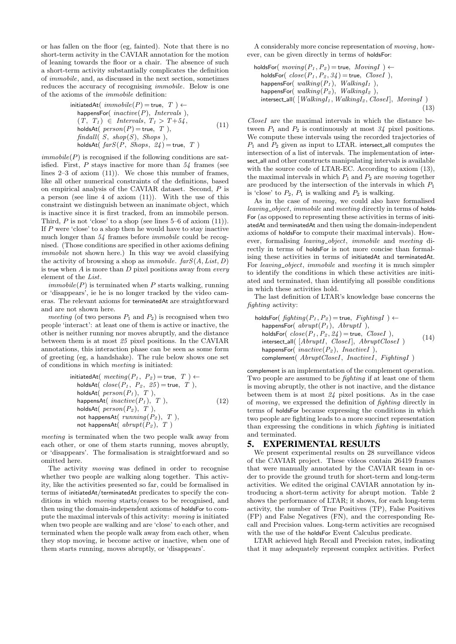or has fallen on the floor (eg, fainted). Note that there is no short-term activity in the CAVIAR annotation for the motion of leaning towards the floor or a chair. The absence of such a short-term activity substantially complicates the definition of immobile, and, as discussed in the next section, sometimes reduces the accuracy of recognising immobile. Below is one of the axioms of the immobile definition:

$$
\begin{array}{ll}\text{initiatedAt}(&\text{immobile}(P) = \text{true}, & T) \leftarrow \\
 & \text{happensFor}(&\text{inactive}(P), ~\text{Intervals}), \\
 & (T, T_1) \in ~\text{Intervals}, T_1 > T + 54, \\
 & \text{holdsAt}~\text{person}(P) = \text{true}, ~T), \\
 & \text{findall}(~S, ~\text{shop}(S), ~\text{Shops}), \\
 & \text{holdsAt}~\text{farS}(P, ~\text{Shops}, ~24) = \text{true}, ~T)\n\end{array}\n\tag{11}
$$

 $immobile(P)$  is recognised if the following conditions are satisfied. First,  $P$  stays inactive for more than  $54$  frames (see lines  $2-3$  of axiom  $(11)$ ). We chose this number of frames, like all other numerical constraints of the definitions, based on empirical analysis of the CAVIAR dataset. Second, P is a person (see line 4 of axiom (11)). With the use of this constraint we distinguish between an inanimate object, which is inactive since it is first tracked, from an immobile person. Third,  $P$  is not 'close' to a shop (see lines 5–6 of axiom  $(11)$ ). If  $P$  were 'close' to a shop then he would have to stay inactive much longer than 54 frames before immobile could be recognised. (Those conditions are specified in other axioms defining immobile not shown here.) In this way we avoid classifying the activity of browsing a shop as *immobile.*  $\text{farS}(A, \text{List}, D)$ is true when  $A$  is more than  $D$  pixel positions away from every element of the List.

 $immobile(P)$  is terminated when P starts walking, running or 'disappears', ie he is no longer tracked by the video cameras. The relevant axioms for terminatedAt are straightforward and are not shown here.

meeting (of two persons  $P_1$  and  $P_2$ ) is recognised when two people 'interact': at least one of them is active or inactive, the other is neither running nor moves abruptly, and the distance between them is at most 25 pixel positions. In the CAVIAR annotations, this interaction phase can be seen as some form of greeting (eg, a handshake). The rule below shows one set of conditions in which meeting is initiated:

$$
\begin{array}{ll}\text{initiatedAt}(\text{ meeting}(P_1, P_2) = \text{true}, T) \leftarrow\\ \text{holdsAt}(\text{ close}(P_1, P_2, 25) = \text{true}, T),\\ \text{holdsAt}(\text{person}(P_1), T),\\ \text{happensAt}(\text{ inactive}(P_1), T),\\ \text{holdsAt}(\text{person}(P_2), T),\\ \text{not happensAt}(\text{running}(P_2), T),\\ \text{not happensAt}(\text{abrupt}(P_2), T),\\ \text{not happensAt}(\text{abrupt}(P_2), T)\end{array} \tag{12}
$$

meeting is terminated when the two people walk away from each other, or one of them starts running, moves abruptly, or 'disappears'. The formalisation is straightforward and so omitted here.

The activity moving was defined in order to recognise whether two people are walking along together. This activity, like the activities presented so far, could be formalised in terms of initiatedAt/terminatedAt predicates to specify the conditions in which moving starts/ceases to be recognised, and then using the domain-independent axioms of holdsFor to compute the maximal intervals of this activity: moving is initiated when two people are walking and are 'close' to each other, and terminated when the people walk away from each other, when they stop moving, ie become active or inactive, when one of them starts running, moves abruptly, or 'disappears'.

A considerably more concise representation of moving, however, can be given directly in terms of holdsFor:

$$
\begin{array}{ll}\n\text{holdsFor}( \; moving(P_1, P_2) = \text{true}, \; MovingI \; ) \leftarrow \\
\text{holdsFor}( \; close(P_1, P_2, 34) = \text{true}, \; Closed \; ), \\
\text{happensFor}( \; walking(P_1), \; WalkingI_1 \; ), \\
\text{happensFor}( \; walking(P_2), \; WalkingI_2 \; ), \\
\text{intersectall}( \; [WalkingI_1, WakingI_2, Closed], \; MovingI \; )\n\end{array} \tag{13}
$$

CloseI are the maximal intervals in which the distance between  $P_1$  and  $P_2$  is continuously at most  $34$  pixel positions. We compute these intervals using the recorded trajectories of  $P_1$  and  $P_2$  given as input to LTAR. intersect\_all computes the intersection of a list of intervals. The implementation of intersect<sub>-all</sub> and other constructs manipulating intervals is available with the source code of LTAR-EC. According to axiom (13), the maximal intervals in which  $P_1$  and  $P_2$  are moving together are produced by the intersection of the intervals in which  $P_1$ is 'close' to  $P_2$ ,  $P_1$  is walking and  $P_2$  is walking.

As in the case of moving, we could also have formalised leaving object, immobile and meeting directly in terms of holds-For (as opposed to representing these activities in terms of initiatedAt and terminatedAt and then using the domain-independent axioms of holdsFor to compute their maximal intervals). However, formalising leaving\_object, immobile and meeting directly in terms of holdsFor is not more concise than formalising these activities in terms of initiatedAt and terminatedAt. For leaving object, immobile and meeting it is much simpler to identify the conditions in which these activities are initiated and terminated, than identifying all possible conditions in which these activities hold.

The last definition of LTAR's knowledge base concerns the fighting activity:

$$
\begin{array}{ll}\n\text{holdsFor(}\n\text{fglting}(P_1, P_2) = \text{true}, \n\text{FightingI}) \leftarrow \\
& \text{happensFor(} \text{abrupt}(P_1), \text{AbruptI} \text{ }, \\
& \text{holdsFor(} \text{close}(P_1, P_2, 24) = \text{true}, \text{CloseI} \text{ }, \\
& \text{intersect}\n\text{all(} \text{[} \text{AbruptI}, \text{CloseI}, \text{AbruptCloseI} \text{ }\text{)} \\
& \text{happensFor(} \text{ inactive}(P_2), \text{InactiveI}, \text{FightingI} \text{ }\text{)} \\
& \text{complement(} \text{AbruptCloseI}, \text{InactiveI}, \text{FightingI} \text{ }\text{)}\n\end{array}\n\tag{14}
$$

complement is an implementation of the complement operation. Two people are assumed to be fighting if at least one of them is moving abruptly, the other is not inactive, and the distance between them is at most  $24$  pixel positions. As in the case of moving, we expressed the definition of fighting directly in terms of holdsFor because expressing the conditions in which two people are fighting leads to a more succinct representation than expressing the conditions in which fighting is initiated and terminated.

## 5. EXPERIMENTAL RESULTS

We present experimental results on 28 surveillance videos of the CAVIAR project. These videos contain 26419 frames that were manually annotated by the CAVIAR team in order to provide the ground truth for short-term and long-term activities. We edited the original CAVIAR annotation by introducing a short-term activity for abrupt motion. Table 2 shows the performance of LTAR; it shows, for each long-term activity, the number of True Positives (TP), False Positives (FP) and False Negatives (FN), and the corresponding Recall and Precision values. Long-term activities are recognised with the use of the holdsFor Event Calculus predicate.

LTAR achieved high Recall and Precision rates, indicating that it may adequately represent complex activities. Perfect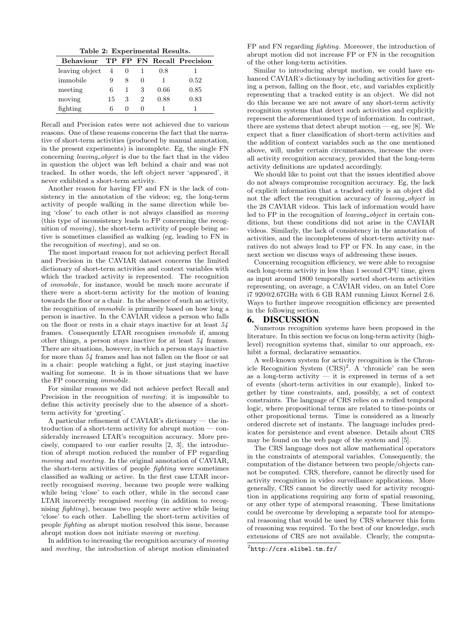Table 2: Experimental Results.

| Behaviour      |    |   |    |      | TP FP FN Recall Precision |
|----------------|----|---|----|------|---------------------------|
| leaving object | 4  |   |    | 0.8  |                           |
| immobile       | 9  | 8 |    |      | 0.52                      |
| meeting        | 6  |   | З  | 0.66 | 0.85                      |
| moving         | 15 | 3 | 2  | 0.88 | 0.83                      |
| fighting       | 6  |   | ., |      |                           |

Recall and Precision rates were not achieved due to various reasons. One of these reasons concerns the fact that the narrative of short-term activities (produced by manual annotation, in the present experiments) is incomplete. Eg, the single FN concerning *leaving\_object* is due to the fact that in the video in question the object was left behind a chair and was not tracked. In other words, the left object never 'appeared', it never exhibited a short-term activity.

Another reason for having FP and FN is the lack of consistency in the annotation of the videos; eg, the long-term activity of people walking in the same direction while being 'close' to each other is not always classified as moving (this type of inconsistency leads to FP concerning the recognition of moving), the short-term activity of people being active is sometimes classified as walking (eg, leading to FN in the recognition of meeting), and so on.

The most important reason for not achieving perfect Recall and Precision in the CAVIAR dataset concerns the limited dictionary of short-term activities and context variables with which the tracked activity is represented. The recognition of immobile, for instance, would be much more accurate if there were a short-term activity for the motion of leaning towards the floor or a chair. In the absence of such an activity, the recognition of immobile is primarily based on how long a person is inactive. In the CAVIAR videos a person who falls on the floor or rests in a chair stays inactive for at least 54 frames. Consequently LTAR recognises immobile if, among other things, a person stays inactive for at least 54 frames. There are situations, however, in which a person stays inactive for more than 54 frames and has not fallen on the floor or sat in a chair: people watching a fight, or just staying inactive waiting for someone. It is in those situations that we have the FP concerning immobile.

For similar reasons we did not achieve perfect Recall and Precision in the recognition of *meeting*; it is impossible to define this activity precisely due to the absence of a shortterm activity for 'greeting'.

A particular refinement of CAVIAR's dictionary — the introduction of a short-term activity for abrupt motion — considerably increased LTAR's recognition accuracy. More precisely, compared to our earlier results [2, 3], the introduction of abrupt motion reduced the number of FP regarding moving and meeting. In the original annotation of CAVIAR, the short-term activities of people fighting were sometimes classified as walking or active. In the first case LTAR incorrectly recognised moving, because two people were walking while being 'close' to each other, while in the second case LTAR incorrectly recognised meeting (in addition to recognising fighting), because two people were active while being 'close' to each other. Labelling the short-term activities of people fighting as abrupt motion resolved this issue, because abrupt motion does not initiate moving or meeting.

In addition to increasing the recognition accuracy of moving and meeting, the introduction of abrupt motion eliminated FP and FN regarding fighting. Moreover, the introduction of abrupt motion did not increase FP or FN in the recognition of the other long-term activities.

Similar to introducing abrupt motion, we could have enhanced CAVIAR's dictionary by including activities for greeting a person, falling on the floor, etc, and variables explicitly representing that a tracked entity is an object. We did not do this because we are not aware of any short-term activity recognition systems that detect such activities and explicitly represent the aforementioned type of information. In contrast, there are systems that detect abrupt motion — eg, see [8]. We expect that a finer classification of short-term activities and the addition of context variables such as the one mentioned above, will, under certain circumstances, increase the overall activity recognition accuracy, provided that the long-term activity definitions are updated accordingly.

We should like to point out that the issues identified above do not always compromise recognition accuracy. Eg, the lack of explicit information that a tracked entity is an object did not the affect the recognition accuracy of leaving object in the 28 CAVIAR videos. This lack of information would have led to FP in the recognition of *leaving\_object* in certain conditions, but these conditions did not arise in the CAVIAR videos. Similarly, the lack of consistency in the annotation of activities, and the incompleteness of short-term activity narratives do not always lead to FP or FN. In any case, in the next section we discuss ways of addressing these issues.

Concerning recognition efficiency, we were able to recognise each long-term activity in less than 1 second CPU time, given as input around 1800 temporally sorted short-term activities representing, on average, a CAVIAR video, on an Intel Core i7 920@2.67GHz with 6 GB RAM running Linux Kernel 2.6. Ways to further improve recognition efficiency are presented in the following section.

#### 6. DISCUSSION

Numerous recognition systems have been proposed in the literature. In this section we focus on long-term activity (highlevel) recognition systems that, similar to our approach, exhibit a formal, declarative semantics.

A well-known system for activity recognition is the Chronicle Recognition System (CRS)<sup>2</sup>. A 'chronicle' can be seen as a long-term activity  $-$  it is expressed in terms of a set of events (short-term activities in our example), linked together by time constraints, and, possibly, a set of context constraints. The language of CRS relies on a reified temporal logic, where propositional terms are related to time-points or other propositional terms. Time is considered as a linearly ordered discrete set of instants. The language includes predicates for persistence and event absence. Details about CRS may be found on the web page of the system and [5].

The CRS language does not allow mathematical operators in the constraints of atemporal variables. Consequently, the computation of the distance between two people/objects cannot be computed. CRS, therefore, cannot be directly used for activity recognition in video surveillance applications. More generally, CRS cannot be directly used for activity recognition in applications requiring any form of spatial reasoning, or any other type of atemporal reasoning. These limitations could be overcome by developing a separate tool for atemporal reasoning that would be used by CRS whenever this form of reasoning was required. To the best of our knowledge, such extensions of CRS are not available. Clearly, the computa-

 $^{2}$ http://crs.elibel.tm.fr/